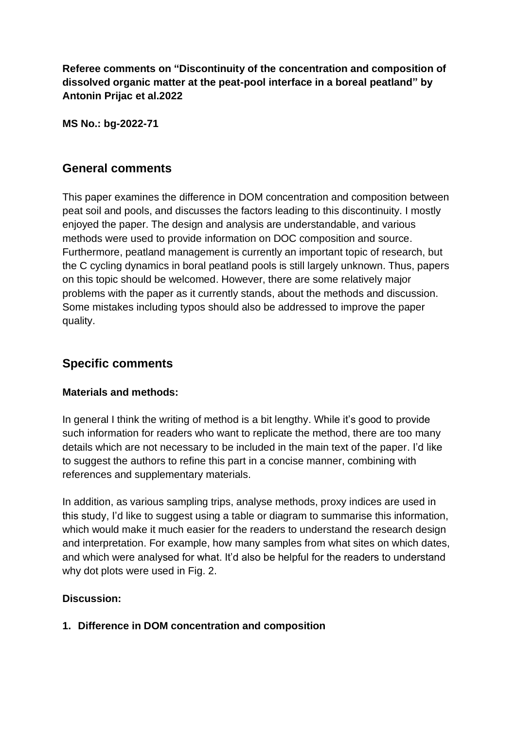**Referee comments on "Discontinuity of the concentration and composition of dissolved organic matter at the peat-pool interface in a boreal peatland" by Antonin Prijac et al.2022**

**MS No.: bg-2022-71**

### **General comments**

This paper examines the difference in DOM concentration and composition between peat soil and pools, and discusses the factors leading to this discontinuity. I mostly enjoyed the paper. The design and analysis are understandable, and various methods were used to provide information on DOC composition and source. Furthermore, peatland management is currently an important topic of research, but the C cycling dynamics in boral peatland pools is still largely unknown. Thus, papers on this topic should be welcomed. However, there are some relatively major problems with the paper as it currently stands, about the methods and discussion. Some mistakes including typos should also be addressed to improve the paper quality.

# **Specific comments**

#### **Materials and methods:**

In general I think the writing of method is a bit lengthy. While it's good to provide such information for readers who want to replicate the method, there are too many details which are not necessary to be included in the main text of the paper. I'd like to suggest the authors to refine this part in a concise manner, combining with references and supplementary materials.

In addition, as various sampling trips, analyse methods, proxy indices are used in this study, I'd like to suggest using a table or diagram to summarise this information, which would make it much easier for the readers to understand the research design and interpretation. For example, how many samples from what sites on which dates, and which were analysed for what. It'd also be helpful for the readers to understand why dot plots were used in Fig. 2.

#### **Discussion:**

**1. Difference in DOM concentration and composition**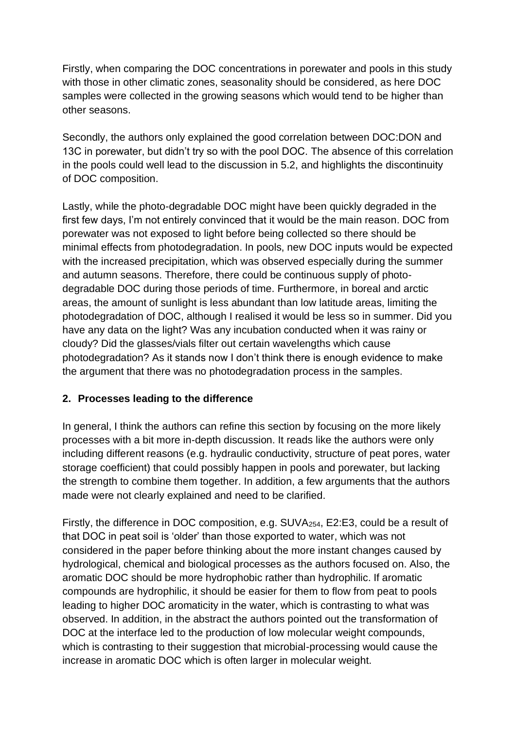Firstly, when comparing the DOC concentrations in porewater and pools in this study with those in other climatic zones, seasonality should be considered, as here DOC samples were collected in the growing seasons which would tend to be higher than other seasons.

Secondly, the authors only explained the good correlation between DOC:DON and 13C in porewater, but didn't try so with the pool DOC. The absence of this correlation in the pools could well lead to the discussion in 5.2, and highlights the discontinuity of DOC composition.

Lastly, while the photo-degradable DOC might have been quickly degraded in the first few days, I'm not entirely convinced that it would be the main reason. DOC from porewater was not exposed to light before being collected so there should be minimal effects from photodegradation. In pools, new DOC inputs would be expected with the increased precipitation, which was observed especially during the summer and autumn seasons. Therefore, there could be continuous supply of photodegradable DOC during those periods of time. Furthermore, in boreal and arctic areas, the amount of sunlight is less abundant than low latitude areas, limiting the photodegradation of DOC, although I realised it would be less so in summer. Did you have any data on the light? Was any incubation conducted when it was rainy or cloudy? Did the glasses/vials filter out certain wavelengths which cause photodegradation? As it stands now I don't think there is enough evidence to make the argument that there was no photodegradation process in the samples.

### **2. Processes leading to the difference**

In general, I think the authors can refine this section by focusing on the more likely processes with a bit more in-depth discussion. It reads like the authors were only including different reasons (e.g. hydraulic conductivity, structure of peat pores, water storage coefficient) that could possibly happen in pools and porewater, but lacking the strength to combine them together. In addition, a few arguments that the authors made were not clearly explained and need to be clarified.

Firstly, the difference in DOC composition, e.g. SUVA254, E2:E3, could be a result of that DOC in peat soil is 'older' than those exported to water, which was not considered in the paper before thinking about the more instant changes caused by hydrological, chemical and biological processes as the authors focused on. Also, the aromatic DOC should be more hydrophobic rather than hydrophilic. If aromatic compounds are hydrophilic, it should be easier for them to flow from peat to pools leading to higher DOC aromaticity in the water, which is contrasting to what was observed. In addition, in the abstract the authors pointed out the transformation of DOC at the interface led to the production of low molecular weight compounds, which is contrasting to their suggestion that microbial-processing would cause the increase in aromatic DOC which is often larger in molecular weight.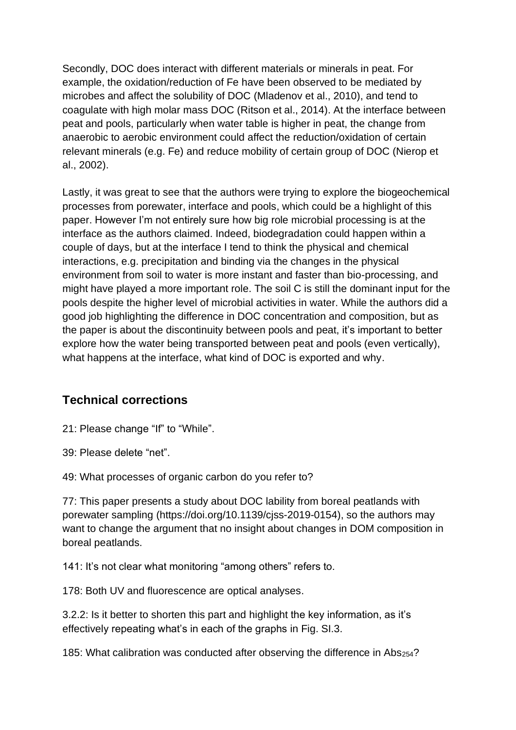Secondly, DOC does interact with different materials or minerals in peat. For example, the oxidation/reduction of Fe have been observed to be mediated by microbes and affect the solubility of DOC (Mladenov et al., 2010), and tend to coagulate with high molar mass DOC (Ritson et al., 2014). At the interface between peat and pools, particularly when water table is higher in peat, the change from anaerobic to aerobic environment could affect the reduction/oxidation of certain relevant minerals (e.g. Fe) and reduce mobility of certain group of DOC (Nierop et al., 2002).

Lastly, it was great to see that the authors were trying to explore the biogeochemical processes from porewater, interface and pools, which could be a highlight of this paper. However I'm not entirely sure how big role microbial processing is at the interface as the authors claimed. Indeed, biodegradation could happen within a couple of days, but at the interface I tend to think the physical and chemical interactions, e.g. precipitation and binding via the changes in the physical environment from soil to water is more instant and faster than bio-processing, and might have played a more important role. The soil C is still the dominant input for the pools despite the higher level of microbial activities in water. While the authors did a good job highlighting the difference in DOC concentration and composition, but as the paper is about the discontinuity between pools and peat, it's important to better explore how the water being transported between peat and pools (even vertically), what happens at the interface, what kind of DOC is exported and why.

# **Technical corrections**

21: Please change "If" to "While".

39: Please delete "net".

49: What processes of organic carbon do you refer to?

77: This paper presents a study about DOC lability from boreal peatlands with porewater sampling [\(https://doi.org/10.1139/cjss-2019-0154\)](https://doi.org/10.1139/cjss-2019-0154), so the authors may want to change the argument that no insight about changes in DOM composition in boreal peatlands.

141: It's not clear what monitoring "among others" refers to.

178: Both UV and fluorescence are optical analyses.

3.2.2: Is it better to shorten this part and highlight the key information, as it's effectively repeating what's in each of the graphs in Fig. SI.3.

185: What calibration was conducted after observing the difference in Abs254?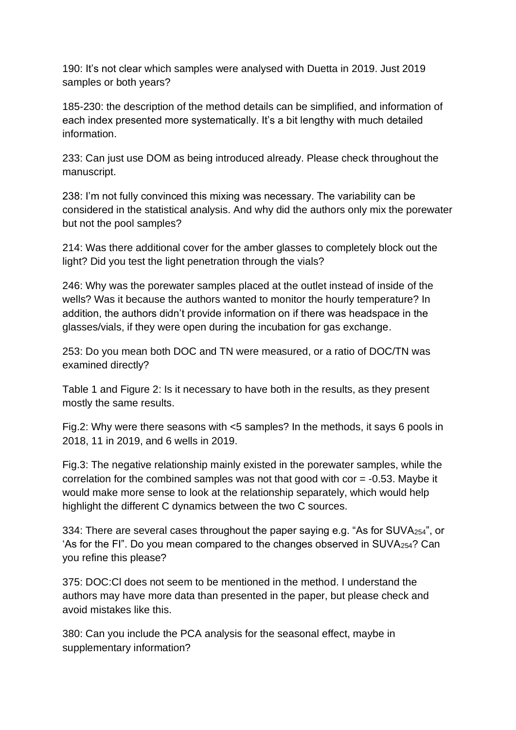190: It's not clear which samples were analysed with Duetta in 2019. Just 2019 samples or both years?

185-230: the description of the method details can be simplified, and information of each index presented more systematically. It's a bit lengthy with much detailed information.

233: Can just use DOM as being introduced already. Please check throughout the manuscript.

238: I'm not fully convinced this mixing was necessary. The variability can be considered in the statistical analysis. And why did the authors only mix the porewater but not the pool samples?

214: Was there additional cover for the amber glasses to completely block out the light? Did you test the light penetration through the vials?

246: Why was the porewater samples placed at the outlet instead of inside of the wells? Was it because the authors wanted to monitor the hourly temperature? In addition, the authors didn't provide information on if there was headspace in the glasses/vials, if they were open during the incubation for gas exchange.

253: Do you mean both DOC and TN were measured, or a ratio of DOC/TN was examined directly?

Table 1 and Figure 2: Is it necessary to have both in the results, as they present mostly the same results.

Fig.2: Why were there seasons with <5 samples? In the methods, it says 6 pools in 2018, 11 in 2019, and 6 wells in 2019.

Fig.3: The negative relationship mainly existed in the porewater samples, while the correlation for the combined samples was not that good with cor = -0.53. Maybe it would make more sense to look at the relationship separately, which would help highlight the different C dynamics between the two C sources.

334: There are several cases throughout the paper saying e.g. "As for SUVA254", or 'As for the FI". Do you mean compared to the changes observed in SUVA $_{254}$ ? Can you refine this please?

375: DOC:Cl does not seem to be mentioned in the method. I understand the authors may have more data than presented in the paper, but please check and avoid mistakes like this.

380: Can you include the PCA analysis for the seasonal effect, maybe in supplementary information?